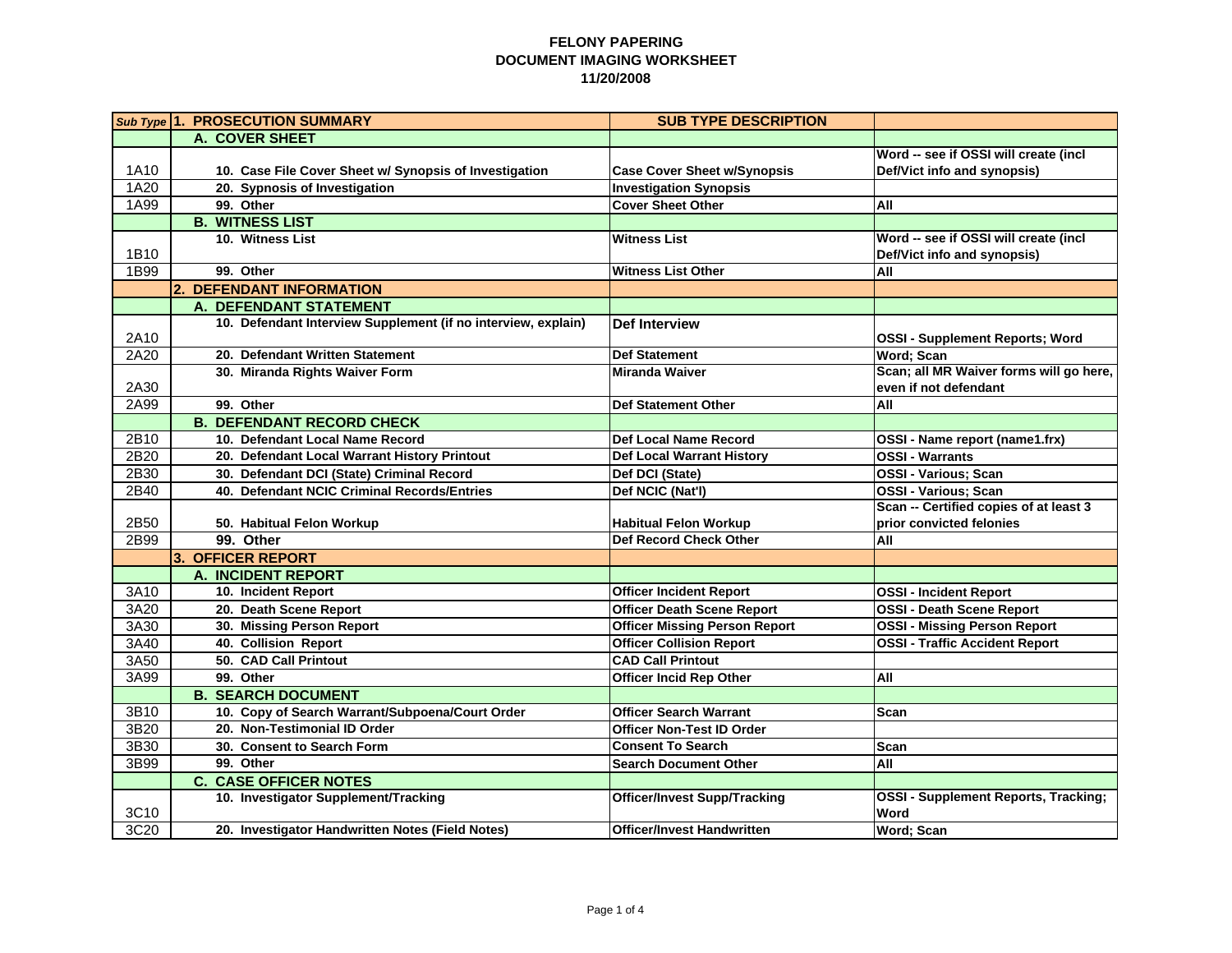|      | Sub Type 1. PROSECUTION SUMMARY                               | <b>SUB TYPE DESCRIPTION</b>          |                                             |
|------|---------------------------------------------------------------|--------------------------------------|---------------------------------------------|
|      | A. COVER SHEET                                                |                                      |                                             |
|      |                                                               |                                      | Word -- see if OSSI will create (incl       |
| 1A10 | 10. Case File Cover Sheet w/ Synopsis of Investigation        | <b>Case Cover Sheet w/Synopsis</b>   | Def/Vict info and synopsis)                 |
| 1A20 | 20. Sypnosis of Investigation                                 | <b>Investigation Synopsis</b>        |                                             |
| 1A99 | 99. Other                                                     | <b>Cover Sheet Other</b>             | All                                         |
|      | <b>B. WITNESS LIST</b>                                        |                                      |                                             |
|      | 10. Witness List                                              | <b>Witness List</b>                  | Word -- see if OSSI will create (incl       |
| 1B10 |                                                               |                                      | Def/Vict info and synopsis)                 |
| 1B99 | 99. Other                                                     | <b>Witness List Other</b>            | All                                         |
|      | 2. DEFENDANT INFORMATION                                      |                                      |                                             |
|      | A. DEFENDANT STATEMENT                                        |                                      |                                             |
|      | 10. Defendant Interview Supplement (if no interview, explain) | Def Interview                        |                                             |
| 2A10 |                                                               |                                      | <b>OSSI - Supplement Reports; Word</b>      |
| 2A20 | 20. Defendant Written Statement                               | <b>Def Statement</b>                 | <b>Word: Scan</b>                           |
|      | 30. Miranda Rights Waiver Form                                | <b>Miranda Waiver</b>                | Scan; all MR Waiver forms will go here,     |
| 2A30 |                                                               |                                      | even if not defendant                       |
| 2A99 | 99. Other                                                     | <b>Def Statement Other</b>           | All                                         |
|      | <b>B. DEFENDANT RECORD CHECK</b>                              |                                      |                                             |
| 2B10 | 10. Defendant Local Name Record                               | <b>Def Local Name Record</b>         | OSSI - Name report (name1.frx)              |
| 2B20 | 20. Defendant Local Warrant History Printout                  | <b>Def Local Warrant History</b>     | <b>OSSI - Warrants</b>                      |
| 2B30 | 30. Defendant DCI (State) Criminal Record                     | Def DCI (State)                      | <b>OSSI - Various: Scan</b>                 |
| 2B40 | 40. Defendant NCIC Criminal Records/Entries                   | Def NCIC (Nat'l)                     | OSSI - Various; Scan                        |
|      |                                                               |                                      | Scan -- Certified copies of at least 3      |
| 2B50 | 50. Habitual Felon Workup                                     | <b>Habitual Felon Workup</b>         | prior convicted felonies                    |
| 2B99 | 99. Other                                                     | <b>Def Record Check Other</b>        | All                                         |
|      | 3. OFFICER REPORT                                             |                                      |                                             |
|      | <b>A. INCIDENT REPORT</b>                                     |                                      |                                             |
| 3A10 | 10. Incident Report                                           | <b>Officer Incident Report</b>       | <b>OSSI - Incident Report</b>               |
| 3A20 | 20. Death Scene Report                                        | <b>Officer Death Scene Report</b>    | <b>OSSI - Death Scene Report</b>            |
| 3A30 | 30. Missing Person Report                                     | <b>Officer Missing Person Report</b> | <b>OSSI - Missing Person Report</b>         |
| 3A40 | 40. Collision Report                                          | <b>Officer Collision Report</b>      | <b>OSSI - Traffic Accident Report</b>       |
| 3A50 | 50. CAD Call Printout                                         | <b>CAD Call Printout</b>             |                                             |
| 3A99 | 99. Other                                                     | <b>Officer Incid Rep Other</b>       | All                                         |
|      | <b>B. SEARCH DOCUMENT</b>                                     |                                      |                                             |
| 3B10 | 10. Copy of Search Warrant/Subpoena/Court Order               | <b>Officer Search Warrant</b>        | Scan                                        |
| 3B20 | 20. Non-Testimonial ID Order                                  | <b>Officer Non-Test ID Order</b>     |                                             |
| 3B30 | 30. Consent to Search Form                                    | <b>Consent To Search</b>             | Scan                                        |
| 3B99 | 99. Other                                                     | <b>Search Document Other</b>         | All                                         |
|      | <b>C. CASE OFFICER NOTES</b>                                  |                                      |                                             |
|      | 10. Investigator Supplement/Tracking                          | <b>Officer/Invest Supp/Tracking</b>  | <b>OSSI - Supplement Reports, Tracking;</b> |
| 3C10 |                                                               |                                      | Word                                        |
| 3C20 | 20. Investigator Handwritten Notes (Field Notes)              | <b>Officer/Invest Handwritten</b>    | Word; Scan                                  |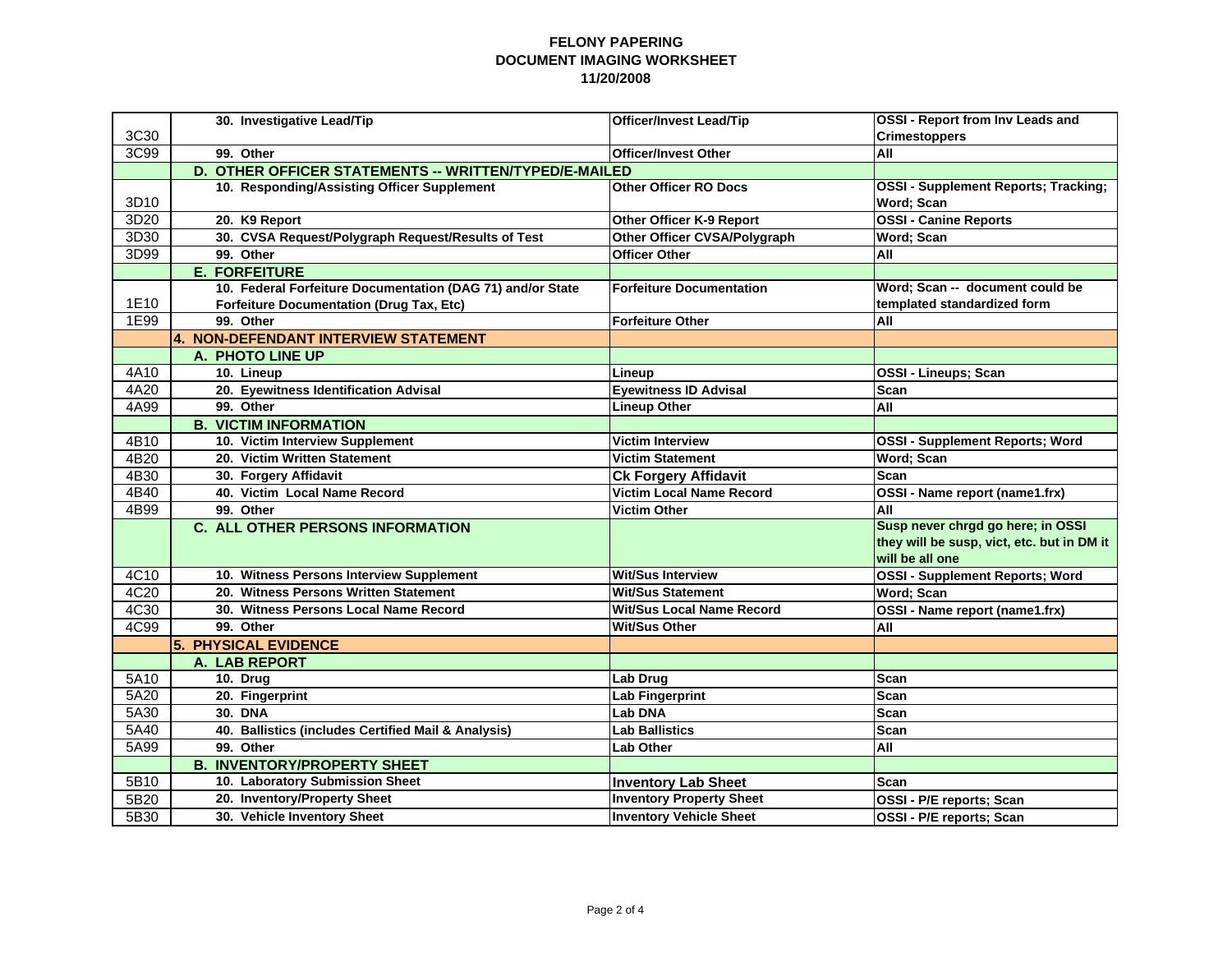|      | 30. Investigative Lead/Tip                                 | <b>Officer/Invest Lead/Tip</b>   | <b>OSSI - Report from Inv Leads and</b>     |  |
|------|------------------------------------------------------------|----------------------------------|---------------------------------------------|--|
| 3C30 |                                                            |                                  | <b>Crimestoppers</b>                        |  |
| 3C99 | 99. Other                                                  | <b>Officer/Invest Other</b>      | All                                         |  |
|      | D. OTHER OFFICER STATEMENTS -- WRITTEN/TYPED/E-MAILED      |                                  |                                             |  |
|      | 10. Responding/Assisting Officer Supplement                | <b>Other Officer RO Docs</b>     | <b>OSSI - Supplement Reports; Tracking;</b> |  |
| 3D10 |                                                            |                                  | Word; Scan                                  |  |
| 3D20 | 20. K9 Report                                              | Other Officer K-9 Report         | <b>OSSI - Canine Reports</b>                |  |
| 3D30 | 30. CVSA Request/Polygraph Request/Results of Test         | Other Officer CVSA/Polygraph     | Word; Scan                                  |  |
| 3D99 | 99. Other                                                  | <b>Officer Other</b>             | All                                         |  |
|      | <b>E. FORFEITURE</b>                                       |                                  |                                             |  |
|      | 10. Federal Forfeiture Documentation (DAG 71) and/or State | <b>Forfeiture Documentation</b>  | Word: Scan -- document could be             |  |
| 1E10 | <b>Forfeiture Documentation (Drug Tax, Etc)</b>            |                                  | templated standardized form                 |  |
| 1E99 | 99. Other                                                  | <b>Forfeiture Other</b>          | All                                         |  |
|      | 4. NON-DEFENDANT INTERVIEW STATEMENT                       |                                  |                                             |  |
|      | A. PHOTO LINE UP                                           |                                  |                                             |  |
| 4A10 | 10. Lineup                                                 | Lineup                           | OSSI - Lineups; Scan                        |  |
| 4A20 | 20. Eyewitness Identification Advisal                      | <b>Evewitness ID Advisal</b>     | Scan                                        |  |
| 4A99 | 99. Other                                                  | <b>Lineup Other</b>              | All                                         |  |
|      | <b>B. VICTIM INFORMATION</b>                               |                                  |                                             |  |
| 4B10 | 10. Victim Interview Supplement                            | <b>Victim Interview</b>          | <b>OSSI - Supplement Reports; Word</b>      |  |
| 4B20 | 20. Victim Written Statement                               | <b>Victim Statement</b>          | <b>Word: Scan</b>                           |  |
| 4B30 | 30. Forgery Affidavit                                      | <b>Ck Forgery Affidavit</b>      | Scan                                        |  |
| 4B40 | 40. Victim Local Name Record                               | <b>Victim Local Name Record</b>  | OSSI - Name report (name1.frx)              |  |
| 4B99 | 99. Other                                                  | <b>Victim Other</b>              | All                                         |  |
|      | <b>C. ALL OTHER PERSONS INFORMATION</b>                    |                                  | Susp never chrgd go here; in OSSI           |  |
|      |                                                            |                                  | they will be susp, vict, etc. but in DM it  |  |
|      |                                                            |                                  | will be all one                             |  |
| 4C10 | 10. Witness Persons Interview Supplement                   | <b>Wit/Sus Interview</b>         | <b>OSSI - Supplement Reports; Word</b>      |  |
| 4C20 | 20. Witness Persons Written Statement                      | <b>Wit/Sus Statement</b>         | <b>Word</b> ; Scan                          |  |
| 4C30 | 30. Witness Persons Local Name Record                      | <b>Wit/Sus Local Name Record</b> | OSSI - Name report (name1.frx)              |  |
| 4C99 | 99. Other                                                  | <b>Wit/Sus Other</b>             | All                                         |  |
|      | 5. PHYSICAL EVIDENCE                                       |                                  |                                             |  |
|      | A. LAB REPORT                                              |                                  |                                             |  |
| 5A10 | 10. Drug                                                   | Lab Drug                         | Scan                                        |  |
| 5A20 | 20. Fingerprint                                            | Lab Fingerprint                  | <b>Scan</b>                                 |  |
| 5A30 | <b>30. DNA</b>                                             | <b>Lab DNA</b>                   | Scan                                        |  |
| 5A40 | 40. Ballistics (includes Certified Mail & Analysis)        | Lab Ballistics                   | <b>Scan</b>                                 |  |
| 5A99 | 99. Other                                                  | <b>Lab Other</b>                 | All                                         |  |
|      | <b>B. INVENTORY/PROPERTY SHEET</b>                         |                                  |                                             |  |
| 5B10 | 10. Laboratory Submission Sheet                            | <b>Inventory Lab Sheet</b>       | Scan                                        |  |
| 5B20 | 20. Inventory/Property Sheet                               | <b>Inventory Property Sheet</b>  | OSSI - P/E reports; Scan                    |  |
| 5B30 | 30. Vehicle Inventory Sheet                                | <b>Inventory Vehicle Sheet</b>   | OSSI - P/E reports; Scan                    |  |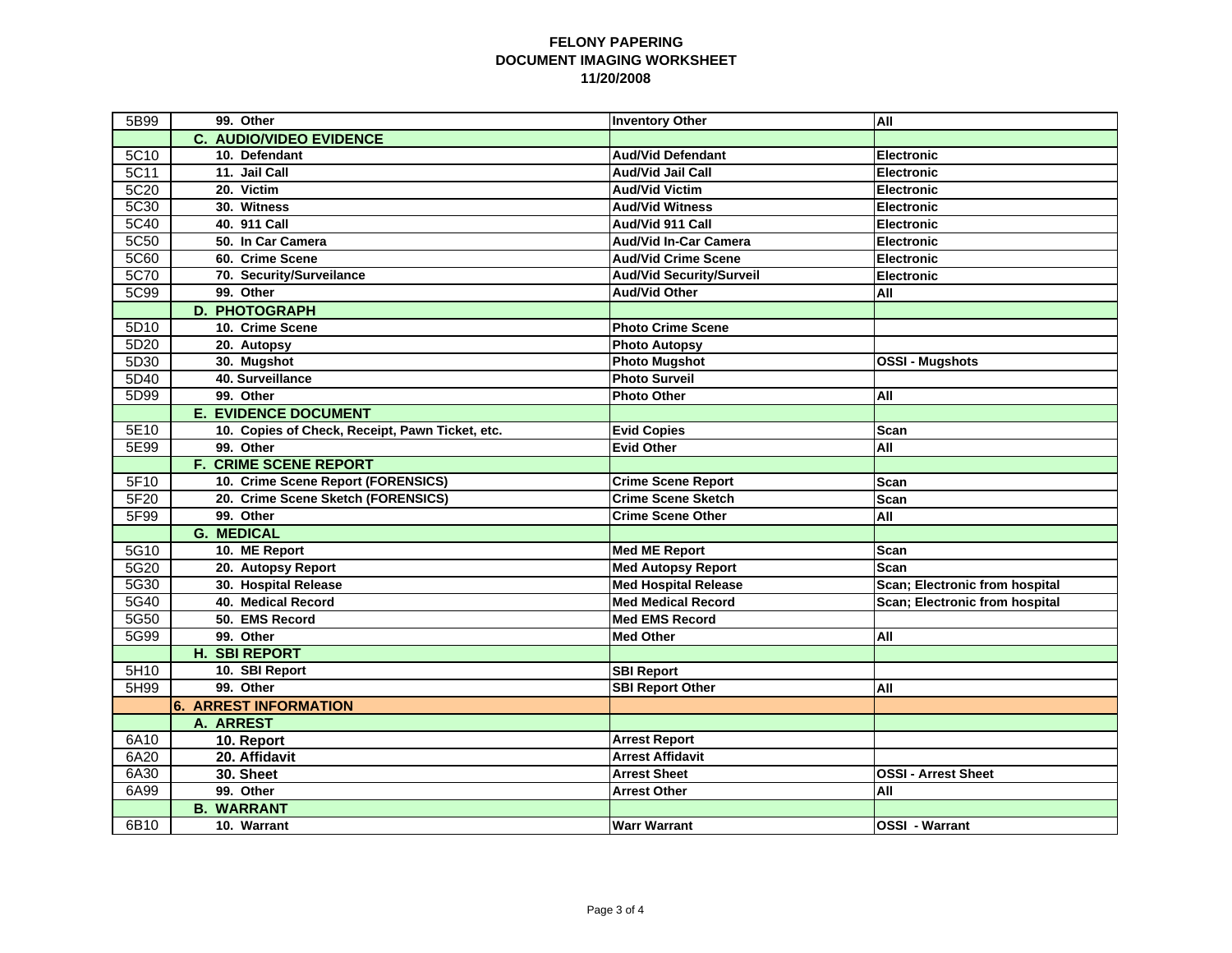| 5B99 | 99. Other                                       | <b>Inventory Other</b>          | All                            |
|------|-------------------------------------------------|---------------------------------|--------------------------------|
|      | <b>C. AUDIO/VIDEO EVIDENCE</b>                  |                                 |                                |
| 5C10 | 10. Defendant                                   | <b>Aud/Vid Defendant</b>        | <b>Electronic</b>              |
| 5C11 | 11. Jail Call                                   | <b>Aud/Vid Jail Call</b>        | Electronic                     |
| 5C20 | 20. Victim                                      | <b>Aud/Vid Victim</b>           | <b>Electronic</b>              |
| 5C30 | 30. Witness                                     | <b>Aud/Vid Witness</b>          | <b>Electronic</b>              |
| 5C40 | 40. 911 Call                                    | Aud/Vid 911 Call                | <b>Electronic</b>              |
| 5C50 | 50. In Car Camera                               | <b>Aud/Vid In-Car Camera</b>    | <b>Electronic</b>              |
| 5C60 | 60. Crime Scene                                 | <b>Aud/Vid Crime Scene</b>      | <b>Electronic</b>              |
| 5C70 | 70. Security/Surveilance                        | <b>Aud/Vid Security/Surveil</b> | Electronic                     |
| 5C99 | 99. Other                                       | <b>Aud/Vid Other</b>            | All                            |
|      | <b>D. PHOTOGRAPH</b>                            |                                 |                                |
| 5D10 | 10. Crime Scene                                 | <b>Photo Crime Scene</b>        |                                |
| 5D20 | 20. Autopsy                                     | <b>Photo Autopsy</b>            |                                |
| 5D30 | 30. Mugshot                                     | <b>Photo Mugshot</b>            | <b>OSSI - Mugshots</b>         |
| 5D40 | 40. Surveillance                                | <b>Photo Surveil</b>            |                                |
| 5D99 | 99. Other                                       | <b>Photo Other</b>              | All                            |
|      | <b>E. EVIDENCE DOCUMENT</b>                     |                                 |                                |
| 5E10 | 10. Copies of Check, Receipt, Pawn Ticket, etc. | <b>Evid Copies</b>              | Scan                           |
| 5E99 | 99. Other                                       | <b>Evid Other</b>               | All                            |
|      | <b>F. CRIME SCENE REPORT</b>                    |                                 |                                |
| 5F10 | 10. Crime Scene Report (FORENSICS)              | <b>Crime Scene Report</b>       | <b>Scan</b>                    |
| 5F20 | 20. Crime Scene Sketch (FORENSICS)              | <b>Crime Scene Sketch</b>       | Scan                           |
| 5F99 | 99. Other                                       | <b>Crime Scene Other</b>        | All                            |
|      | <b>G. MEDICAL</b>                               |                                 |                                |
| 5G10 | 10. ME Report                                   | <b>Med ME Report</b>            | <b>Scan</b>                    |
| 5G20 | 20. Autopsy Report                              | <b>Med Autopsy Report</b>       | Scan                           |
| 5G30 | 30. Hospital Release                            | <b>Med Hospital Release</b>     | Scan; Electronic from hospital |
| 5G40 | 40. Medical Record                              | Med Medical Record              | Scan; Electronic from hospital |
| 5G50 | 50. EMS Record                                  | Med EMS Record                  |                                |
| 5G99 | 99. Other                                       | <b>Med Other</b>                | All                            |
|      | <b>H. SBI REPORT</b>                            |                                 |                                |
| 5H10 | 10. SBI Report                                  | <b>SBI Report</b>               |                                |
| 5H99 | 99. Other                                       | <b>SBI Report Other</b>         | All                            |
|      | <b>6. ARREST INFORMATION</b>                    |                                 |                                |
|      | A. ARREST                                       |                                 |                                |
| 6A10 | 10. Report                                      | <b>Arrest Report</b>            |                                |
| 6A20 | 20. Affidavit                                   | <b>Arrest Affidavit</b>         |                                |
| 6A30 | 30. Sheet                                       | <b>Arrest Sheet</b>             | <b>OSSI - Arrest Sheet</b>     |
| 6A99 | 99. Other                                       | <b>Arrest Other</b>             | All                            |
|      | <b>B. WARRANT</b>                               |                                 |                                |
| 6B10 | 10. Warrant                                     | <b>Warr Warrant</b>             | <b>OSSI - Warrant</b>          |